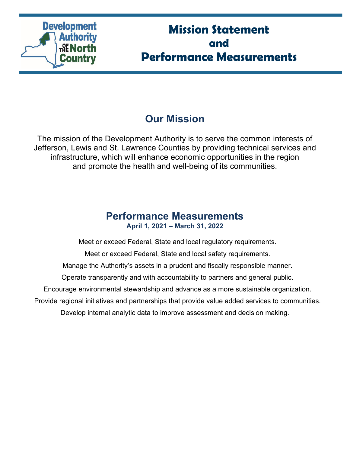

# **Mission Statement and Performance Measurements**

# **Our Mission**

The mission of the Development Authority is to serve the common interests of Jefferson, Lewis and St. Lawrence Counties by providing technical services and infrastructure, which will enhance economic opportunities in the region and promote the health and well-being of its communities.

# **Performance Measurements April 1, 2021 – March 31, 2022**

Meet or exceed Federal, State and local regulatory requirements.

Meet or exceed Federal, State and local safety requirements.

Manage the Authority's assets in a prudent and fiscally responsible manner.

Operate transparently and with accountability to partners and general public.

Encourage environmental stewardship and advance as a more sustainable organization.

Provide regional initiatives and partnerships that provide value added services to communities.

Develop internal analytic data to improve assessment and decision making.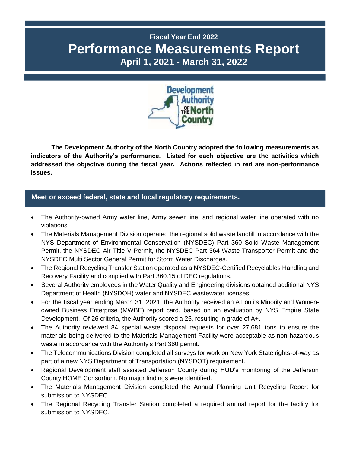# **Fiscal Year End 2022 Performance Measurements Report April 1, 2021 - March 31, 2022**



**The Development Authority of the North Country adopted the following measurements as indicators of the Authority's performance. Listed for each objective are the activities which addressed the objective during the fiscal year. Actions reflected in red are non-performance issues.**

### **P Meet or exceed federal, state and local regulatory requirements.**

- The Authority-owned Army water line, Army sewer line, and regional water line operated with no violations.
- The Materials Management Division operated the regional solid waste landfill in accordance with the NYS Department of Environmental Conservation (NYSDEC) Part 360 Solid Waste Management Permit, the NYSDEC Air Title V Permit, the NYSDEC Part 364 Waste Transporter Permit and the NYSDEC Multi Sector General Permit for Storm Water Discharges.
- The Regional Recycling Transfer Station operated as a NYSDEC-Certified Recyclables Handling and Recovery Facility and complied with Part 360.15 of DEC regulations.
- Several Authority employees in the Water Quality and Engineering divisions obtained additional NYS Department of Health (NYSDOH) water and NYSDEC wastewater licenses.
- For the fiscal year ending March 31, 2021, the Authority received an A+ on its Minority and Womenowned Business Enterprise (MWBE) report card, based on an evaluation by NYS Empire State Development. Of 26 criteria, the Authority scored a 25, resulting in grade of A+.
- The Authority reviewed 84 special waste disposal requests for over 27,681 tons to ensure the materials being delivered to the Materials Management Facility were acceptable as non-hazardous waste in accordance with the Authority's Part 360 permit.
- The Telecommunications Division completed all surveys for work on New York State rights-of-way as part of a new NYS Department of Transportation (NYSDOT) requirement.
- Regional Development staff assisted Jefferson County during HUD's monitoring of the Jefferson County HOME Consortium. No major findings were identified.
- The Materials Management Division completed the Annual Planning Unit Recycling Report for submission to NYSDEC.
- The Regional Recycling Transfer Station completed a required annual report for the facility for submission to NYSDEC.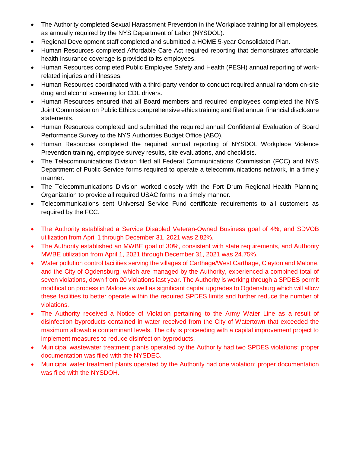- The Authority completed Sexual Harassment Prevention in the Workplace training for all employees, as annually required by the NYS Department of Labor (NYSDOL).
- Regional Development staff completed and submitted a HOME 5-year Consolidated Plan.
- Human Resources completed Affordable Care Act required reporting that demonstrates affordable health insurance coverage is provided to its employees.
- Human Resources completed Public Employee Safety and Health (PESH) annual reporting of workrelated injuries and illnesses.
- Human Resources coordinated with a third-party vendor to conduct required annual random on-site drug and alcohol screening for CDL drivers.
- Human Resources ensured that all Board members and required employees completed the NYS Joint Commission on Public Ethics comprehensive ethics training and filed annual financial disclosure statements.
- Human Resources completed and submitted the required annual Confidential Evaluation of Board Performance Survey to the NYS Authorities Budget Office (ABO).
- Human Resources completed the required annual reporting of NYSDOL Workplace Violence Prevention training, employee survey results, site evaluations, and checklists.
- The Telecommunications Division filed all Federal Communications Commission (FCC) and NYS Department of Public Service forms required to operate a telecommunications network, in a timely manner.
- The Telecommunications Division worked closely with the Fort Drum Regional Health Planning Organization to provide all required USAC forms in a timely manner.
- Telecommunications sent Universal Service Fund certificate requirements to all customers as required by the FCC.
- The Authority established a Service Disabled Veteran-Owned Business goal of 4%, and SDVOB utilization from April 1 through December 31, 2021 was 2.82%.
- The Authority established an MWBE goal of 30%, consistent with state requirements, and Authority MWBE utilization from April 1, 2021 through December 31, 2021 was 24.75%.
- Water pollution control facilities serving the villages of Carthage/West Carthage, Clayton and Malone, and the City of Ogdensburg, which are managed by the Authority, experienced a combined total of seven violations, down from 20 violations last year. The Authority is working through a SPDES permit modification process in Malone as well as significant capital upgrades to Ogdensburg which will allow these facilities to better operate within the required SPDES limits and further reduce the number of violations.
- The Authority received a Notice of Violation pertaining to the Army Water Line as a result of disinfection byproducts contained in water received from the City of Watertown that exceeded the maximum allowable contaminant levels. The city is proceeding with a capital improvement project to implement measures to reduce disinfection byproducts.
- Municipal wastewater treatment plants operated by the Authority had two SPDES violations; proper documentation was filed with the NYSDEC.
- Municipal water treatment plants operated by the Authority had one violation; proper documentation was filed with the NYSDOH.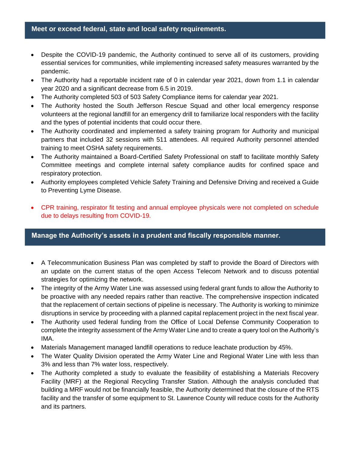#### Meet or exceed federal, state and local safety requirements.

- Despite the COVID-19 pandemic, the Authority continued to serve all of its customers, providing essential services for communities, while implementing increased safety measures warranted by the pandemic.
- The Authority had a reportable incident rate of 0 in calendar year 2021, down from 1.1 in calendar year 2020 and a significant decrease from 6.5 in 2019.
- The Authority completed 503 of 503 Safety Compliance items for calendar year 2021.
- The Authority hosted the South Jefferson Rescue Squad and other local emergency response volunteers at the regional landfill for an emergency drill to familiarize local responders with the facility and the types of potential incidents that could occur there.
- The Authority coordinated and implemented a safety training program for Authority and municipal partners that included 32 sessions with 511 attendees. All required Authority personnel attended training to meet OSHA safety requirements.
- The Authority maintained a Board-Certified Safety Professional on staff to facilitate monthly Safety Committee meetings and complete internal safety compliance audits for confined space and respiratory protection.
- Authority employees completed Vehicle Safety Training and Defensive Driving and received a Guide to Preventing Lyme Disease.
- CPR training, respirator fit testing and annual employee physicals were not completed on schedule due to delays resulting from COVID-19.

#### Manage the Authority's assets in a prudent and fiscally responsible manner.

- A Telecommunication Business Plan was completed by staff to provide the Board of Directors with an update on the current status of the open Access Telecom Network and to discuss potential strategies for optimizing the network.
- The integrity of the Army Water Line was assessed using federal grant funds to allow the Authority to be proactive with any needed repairs rather than reactive. The comprehensive inspection indicated that the replacement of certain sections of pipeline is necessary. The Authority is working to minimize disruptions in service by proceeding with a planned capital replacement project in the next fiscal year.
- The Authority used federal funding from the Office of Local Defense Community Cooperation to complete the integrity assessment of the Army Water Line and to create a query tool on the Authority's IMA.
- Materials Management managed landfill operations to reduce leachate production by 45%.
- The Water Quality Division operated the Army Water Line and Regional Water Line with less than 3% and less than 7% water loss, respectively.
- The Authority completed a study to evaluate the feasibility of establishing a Materials Recovery Facility (MRF) at the Regional Recycling Transfer Station. Although the analysis concluded that building a MRF would not be financially feasible, the Authority determined that the closure of the RTS facility and the transfer of some equipment to St. Lawrence County will reduce costs for the Authority and its partners.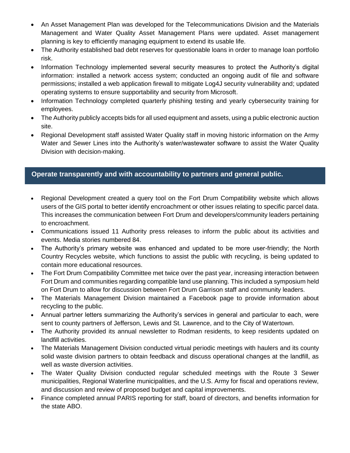- An Asset Management Plan was developed for the Telecommunications Division and the Materials Management and Water Quality Asset Management Plans were updated. Asset management planning is key to efficiently managing equipment to extend its usable life.
- The Authority established bad debt reserves for questionable loans in order to manage loan portfolio risk.
- Information Technology implemented several security measures to protect the Authority's digital information: installed a network access system; conducted an ongoing audit of file and software permissions; installed a web application firewall to mitigate Log4J security vulnerability and; updated operating systems to ensure supportability and security from Microsoft.
- Information Technology completed quarterly phishing testing and yearly cybersecurity training for employees.
- The Authority publicly accepts bids for all used equipment and assets, using a public electronic auction site.
- Regional Development staff assisted Water Quality staff in moving historic information on the Army Water and Sewer Lines into the Authority's water/wastewater software to assist the Water Quality Division with decision-making.

## **Operate transparently and with accountability to partners and general public.**

- Regional Development created a query tool on the Fort Drum Compatibility website which allows users of the GIS portal to better identify encroachment or other issues relating to specific parcel data. This increases the communication between Fort Drum and developers/community leaders pertaining to encroachment.
- Communications issued 11 Authority press releases to inform the public about its activities and events. Media stories numbered 84.
- The Authority's primary website was enhanced and updated to be more user-friendly; the North Country Recycles website, which functions to assist the public with recycling, is being updated to contain more educational resources.
- The Fort Drum Compatibility Committee met twice over the past year, increasing interaction between Fort Drum and communities regarding compatible land use planning. This included a symposium held on Fort Drum to allow for discussion between Fort Drum Garrison staff and community leaders.
- The Materials Management Division maintained a Facebook page to provide information about recycling to the public.
- Annual partner letters summarizing the Authority's services in general and particular to each, were sent to county partners of Jefferson, Lewis and St. Lawrence, and to the City of Watertown.
- The Authority provided its annual newsletter to Rodman residents, to keep residents updated on landfill activities.
- The Materials Management Division conducted virtual periodic meetings with haulers and its county solid waste division partners to obtain feedback and discuss operational changes at the landfill, as well as waste diversion activities.
- The Water Quality Division conducted regular scheduled meetings with the Route 3 Sewer municipalities, Regional Waterline municipalities, and the U.S. Army for fiscal and operations review, and discussion and review of proposed budget and capital improvements.
- Finance completed annual PARIS reporting for staff, board of directors, and benefits information for the state ABO.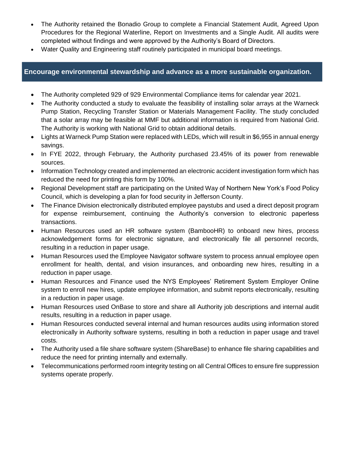- The Authority retained the Bonadio Group to complete a Financial Statement Audit, Agreed Upon Procedures for the Regional Waterline, Report on Investments and a Single Audit. All audits were completed without findings and were approved by the Authority's Board of Directors.
- Water Quality and Engineering staff routinely participated in municipal board meetings.

### **P Encourage environmental stewardship and advance as a more sustainable organization.**

- The Authority completed 929 of 929 Environmental Compliance items for calendar year 2021.
- The Authority conducted a study to evaluate the feasibility of installing solar arrays at the Warneck Pump Station, Recycling Transfer Station or Materials Management Facility. The study concluded that a solar array may be feasible at MMF but additional information is required from National Grid. The Authority is working with National Grid to obtain additional details.
- Lights at Warneck Pump Station were replaced with LEDs, which will result in \$6,955 in annual energy savings.
- In FYE 2022, through February, the Authority purchased 23.45% of its power from renewable sources.
- Information Technology created and implemented an electronic accident investigation form which has reduced the need for printing this form by 100%.
- Regional Development staff are participating on the United Way of Northern New York's Food Policy Council, which is developing a plan for food security in Jefferson County.
- The Finance Division electronically distributed employee paystubs and used a direct deposit program for expense reimbursement, continuing the Authority's conversion to electronic paperless transactions.
- Human Resources used an HR software system (BambooHR) to onboard new hires, process acknowledgement forms for electronic signature, and electronically file all personnel records, resulting in a reduction in paper usage.
- Human Resources used the Employee Navigator software system to process annual employee open enrollment for health, dental, and vision insurances, and onboarding new hires, resulting in a reduction in paper usage.
- Human Resources and Finance used the NYS Employees' Retirement System Employer Online system to enroll new hires, update employee information, and submit reports electronically, resulting in a reduction in paper usage.
- Human Resources used OnBase to store and share all Authority job descriptions and internal audit results, resulting in a reduction in paper usage.
- Human Resources conducted several internal and human resources audits using information stored electronically in Authority software systems, resulting in both a reduction in paper usage and travel costs.
- The Authority used a file share software system (ShareBase) to enhance file sharing capabilities and reduce the need for printing internally and externally.
- Telecommunications performed room integrity testing on all Central Offices to ensure fire suppression systems operate properly.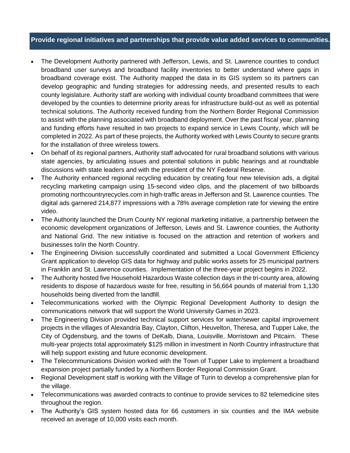### **P Provide regional initiatives and partnerships that provide value added services to communities.**

- The Development Authority partnered with Jefferson, Lewis, and St. Lawrence counties to conduct broadband user surveys and broadband facility inventories to better understand where gaps in broadband coverage exist. The Authority mapped the data in its GIS system so its partners can develop geographic and funding strategies for addressing needs, and presented results to each county legislature. Authority staff are working with individual county broadband committees that were developed by the counties to determine priority areas for infrastructure build-out as well as potential technical solutions. The Authority received funding from the Northern Border Regional Commission to assist with the planning associated with broadband deployment. Over the past fiscal year, planning and funding efforts have resulted in two projects to expand service in Lewis County, which will be completed in 2022. As part of these projects, the Authority worked with Lewis County to secure grants for the installation of three wireless towers.
- On behalf of its regional partners, Authority staff advocated for rural broadband solutions with various state agencies, by articulating issues and potential solutions in public hearings and at roundtable discussions with state leaders and with the president of the NY Federal Reserve.
- The Authority enhanced regional recycling education by creating four new television ads, a digital recycling marketing campaign using 15-second video clips, and the placement of two billboards promoting northcountryrecycles.com in high-traffic areas in Jefferson and St. Lawrence counties. The digital ads garnered 214,877 impressions with a 78% average completion rate for viewing the entire video.
- The Authority launched the Drum County NY regional marketing initiative, a partnership between the economic development organizations of Jefferson, Lewis and St. Lawrence counties, the Authority and National Grid. The new initiative is focused on the attraction and retention of workers and businesses to/in the North Country.
- The Engineering Division successfully coordinated and submitted a Local Government Efficiency Grant application to develop GIS data for highway and public works assets for 25 municipal partners in Franklin and St. Lawrence counties. Implementation of the three-year project begins in 2022.
- The Authority hosted five Household Hazardous Waste collection days in the tri-county area, allowing residents to dispose of hazardous waste for free, resulting in 56,664 pounds of material from 1,130 households being diverted from the landfill.
- Telecommunications worked with the Olympic Regional Development Authority to design the communications network that will support the World University Games in 2023.
- The Engineering Division provided technical support services for water/sewer capital improvement projects in the villages of Alexandria Bay, Clayton, Clifton, Heuvelton, Theresa, and Tupper Lake, the City of Ogdensburg, and the towns of DeKalb, Diana, Louisville, Morristown and Pitcairn. These multi-year projects total approximately \$125 million in investment in North Country infrastructure that will help support existing and future economic development.
- The Telecommunications Division worked with the Town of Tupper Lake to implement a broadband expansion project partially funded by a Northern Border Regional Commission Grant.
- Regional Development staff is working with the Village of Turin to develop a comprehensive plan for the village.
- Telecommunications was awarded contracts to continue to provide services to 82 telemedicine sites throughout the region.
- The Authority's GIS system hosted data for 66 customers in six counties and the IMA website received an average of 10,000 visits each month.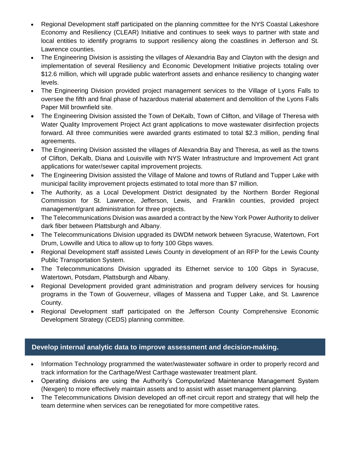- Regional Development staff participated on the planning committee for the NYS Coastal Lakeshore Economy and Resiliency (CLEAR) Initiative and continues to seek ways to partner with state and local entities to identify programs to support resiliency along the coastlines in Jefferson and St. Lawrence counties.
- The Engineering Division is assisting the villages of Alexandria Bay and Clayton with the design and implementation of several Resiliency and Economic Development Initiative projects totaling over \$12.6 million, which will upgrade public waterfront assets and enhance resiliency to changing water levels.
- The Engineering Division provided project management services to the Village of Lyons Falls to oversee the fifth and final phase of hazardous material abatement and demolition of the Lyons Falls Paper Mill brownfield site.
- The Engineering Division assisted the Town of DeKalb, Town of Clifton, and Village of Theresa with Water Quality Improvement Project Act grant applications to move wastewater disinfection projects forward. All three communities were awarded grants estimated to total \$2.3 million, pending final agreements.
- The Engineering Division assisted the villages of Alexandria Bay and Theresa, as well as the towns of Clifton, DeKalb, Diana and Louisville with NYS Water Infrastructure and Improvement Act grant applications for water/sewer capital improvement projects.
- The Engineering Division assisted the Village of Malone and towns of Rutland and Tupper Lake with municipal facility improvement projects estimated to total more than \$7 million.
- The Authority, as a Local Development District designated by the Northern Border Regional Commission for St. Lawrence, Jefferson, Lewis, and Franklin counties, provided project management/grant administration for three projects.
- The Telecommunications Division was awarded a contract by the New York Power Authority to deliver dark fiber between Plattsburgh and Albany.
- The Telecommunications Division upgraded its DWDM network between Syracuse, Watertown, Fort Drum, Lowville and Utica to allow up to forty 100 Gbps waves.
- Regional Development staff assisted Lewis County in development of an RFP for the Lewis County Public Transportation System.
- The Telecommunications Division upgraded its Ethernet service to 100 Gbps in Syracuse, Watertown, Potsdam, Plattsburgh and Albany.
- Regional Development provided grant administration and program delivery services for housing programs in the Town of Gouverneur, villages of Massena and Tupper Lake, and St. Lawrence County.
- Regional Development staff participated on the Jefferson County Comprehensive Economic Development Strategy (CEDS) planning committee.

## P **Develop internal analytic data to improve assessment and decision-making.**

- Information Technology programmed the water/wastewater software in order to properly record and track information for the Carthage/West Carthage wastewater treatment plant.
- Operating divisions are using the Authority's Computerized Maintenance Management System (Nexgen) to more effectively maintain assets and to assist with asset management planning.
- The Telecommunications Division developed an off-net circuit report and strategy that will help the team determine when services can be renegotiated for more competitive rates.